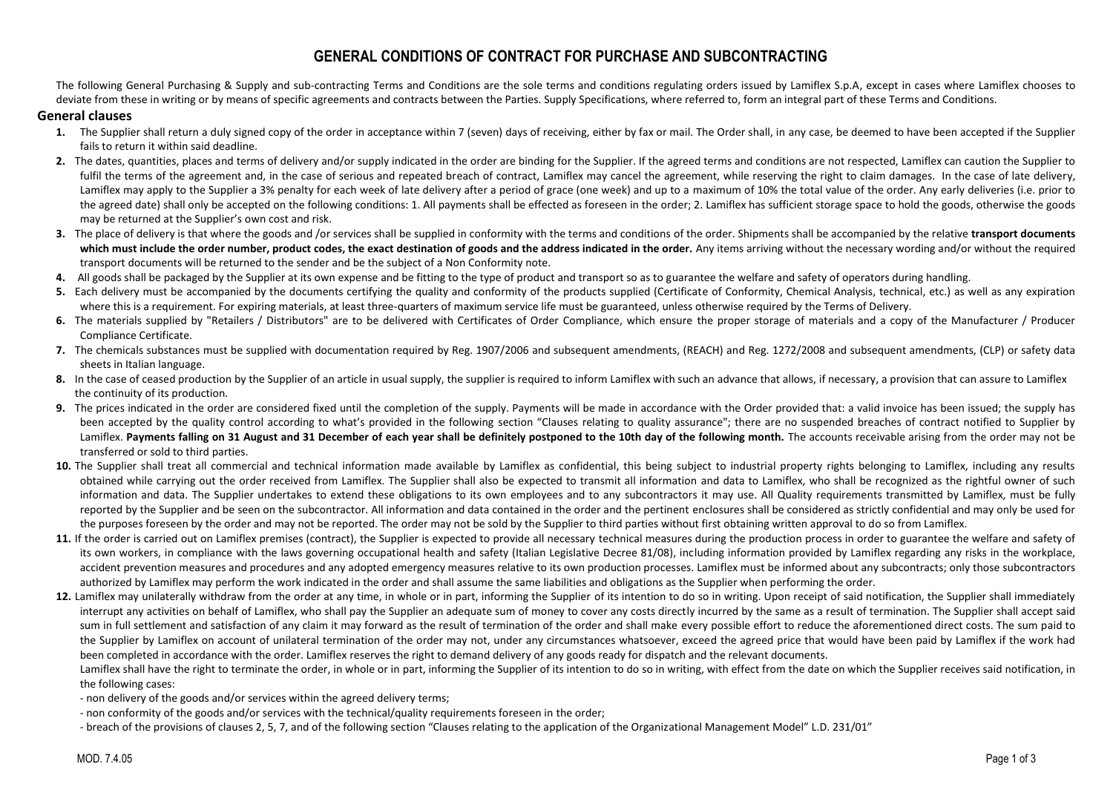# **GENERAL CONDITIONS OF CONTRACT FOR PURCHASE AND SUBCONTRACTING**

The following General Purchasing & Supply and sub-contracting Terms and Conditions are the sole terms and conditions regulating orders issued by Lamiflex S.p.A, except in cases where Lamiflex chooses to deviate from these in writing or by means of specific agreements and contracts between the Parties. Supply Specifications, where referred to, form an integral part of these Terms and Conditions.

#### **General clauses**

- **1.** The Supplier shall return a duly signed copy of the order in acceptance within 7 (seven) days of receiving, either by fax or mail. The Order shall, in any case, be deemed to have been accepted if the Supplier fails to return it within said deadline.
- **2.** The dates, quantities, places and terms of delivery and/or supply indicated in the order are binding for the Supplier. If the agreed terms and conditions are not respected, Lamiflex can caution the Supplier to fulfil the terms of the agreement and, in the case of serious and repeated breach of contract, Lamiflex may cancel the agreement, while reserving the right to claim damages. In the case of late delivery, Lamiflex may apply to the Supplier a 3% penalty for each week of late delivery after a period of grace (one week) and up to a maximum of 10% the total value of the order. Any early deliveries (i.e. prior to the agreed date) shall only be accepted on the following conditions: 1. All payments shall be effected as foreseen in the order; 2. Lamiflex has sufficient storage space to hold the goods, otherwise the goods may be returned at the Supplier's own cost and risk.
- **3.** The place of delivery is that where the goods and /or services shall be supplied in conformity with the terms and conditions of the order. Shipments shall be accompanied by the relative **transport documents which must include the order number, product codes, the exact destination of goods and the address indicated in the order.** Any items arriving without the necessary wording and/or without the required transport documents will be returned to the sender and be the subject of a Non Conformity note.
- 4. All goods shall be packaged by the Supplier at its own expense and be fitting to the type of product and transport so as to guarantee the welfare and safety of operators during handling.
- **5.** Each delivery must be accompanied by the documents certifying the quality and conformity of the products supplied (Certificate of Conformity, Chemical Analysis, technical, etc.) as well as any expiration where this is a requirement. For expiring materials, at least three-quarters of maximum service life must be guaranteed, unless otherwise required by the Terms of Delivery.
- 6. The materials supplied by "Retailers / Distributors" are to be delivered with Certificates of Order Compliance, which ensure the proper storage of materials and a copy of the Manufacturer / Producer Compliance Certificate.
- **7.** The chemicals substances must be supplied with documentation required by Reg. 1907/2006 and subsequent amendments, (REACH) and Reg. 1272/2008 and subsequent amendments, (CLP) or safety data sheets in Italian language.
- **8.** In the case of ceased production by the Supplier of an article in usual supply, the supplier is required to inform Lamiflex with such an advance that allows, if necessary, a provision that can assure to Lamiflex the continuity of its production.
- **9.** The prices indicated in the order are considered fixed until the completion of the supply. Payments will be made in accordance with the Order provided that: a valid invoice has been issued; the supply has been accepted by the quality control according to what's provided in the following section "Clauses relating to quality assurance"; there are no suspended breaches of contract notified to Supplier by Lamiflex. Payments falling on 31 August and 31 December of each year shall be definitely postponed to the 10th day of the following month. The accounts receivable arising from the order may not be transferred or sold to third parties.
- 10. The Supplier shall treat all commercial and technical information made available by Lamiflex as confidential, this being subject to industrial property rights belonging to Lamiflex, including any results obtained while carrying out the order received from Lamiflex. The Supplier shall also be expected to transmit all information and data to Lamiflex, who shall be recognized as the rightful owner of such information and data. The Supplier undertakes to extend these obligations to its own employees and to any subcontractors it may use. All Quality requirements transmitted by Lamiflex, must be fully reported by the Supplier and be seen on the subcontractor. All information and data contained in the order and the pertinent enclosures shall be considered as strictly confidential and may only be used for the purposes foreseen by the order and may not be reported. The order may not be sold by the Supplier to third parties without first obtaining written approval to do so from Lamiflex.
- 11. If the order is carried out on Lamiflex premises (contract), the Supplier is expected to provide all necessary technical measures during the production process in order to guarantee the welfare and safety of its own workers, in compliance with the laws governing occupational health and safety (Italian Legislative Decree 81/08), including information provided by Lamiflex regarding any risks in the workplace, accident prevention measures and procedures and any adopted emergency measures relative to its own production processes. Lamiflex must be informed about any subcontracts; only those subcontractors authorized by Lamiflex may perform the work indicated in the order and shall assume the same liabilities and obligations as the Supplier when performing the order.
- 12. Lamiflex may unilaterally withdraw from the order at any time, in whole or in part, informing the Supplier of its intention to do so in writing. Upon receipt of said notification, the Supplier shall immediately interrupt any activities on behalf of Lamiflex, who shall pay the Supplier an adequate sum of money to cover any costs directly incurred by the same as a result of termination. The Supplier shall accept said sum in full settlement and satisfaction of any claim it may forward as the result of termination of the order and shall make every possible effort to reduce the aforementioned direct costs. The sum paid to the Supplier by Lamiflex on account of unilateral termination of the order may not, under any circumstances whatsoever, exceed the agreed price that would have been paid by Lamiflex if the work had been completed in accordance with the order. Lamiflex reserves the right to demand delivery of any goods ready for dispatch and the relevant documents.

Lamiflex shall have the right to terminate the order, in whole or in part, informing the Supplier of its intention to do so in writing, with effect from the date on which the Supplier receives said notification, in the following cases:

- non delivery of the goods and/or services within the agreed delivery terms;
- non conformity of the goods and/or services with the technical/quality requirements foreseen in the order;
- breach of the provisions of clauses 2, 5, 7, and of the following section "Clauses relating to the application of the Organizational Management Model" L.D. 231/01"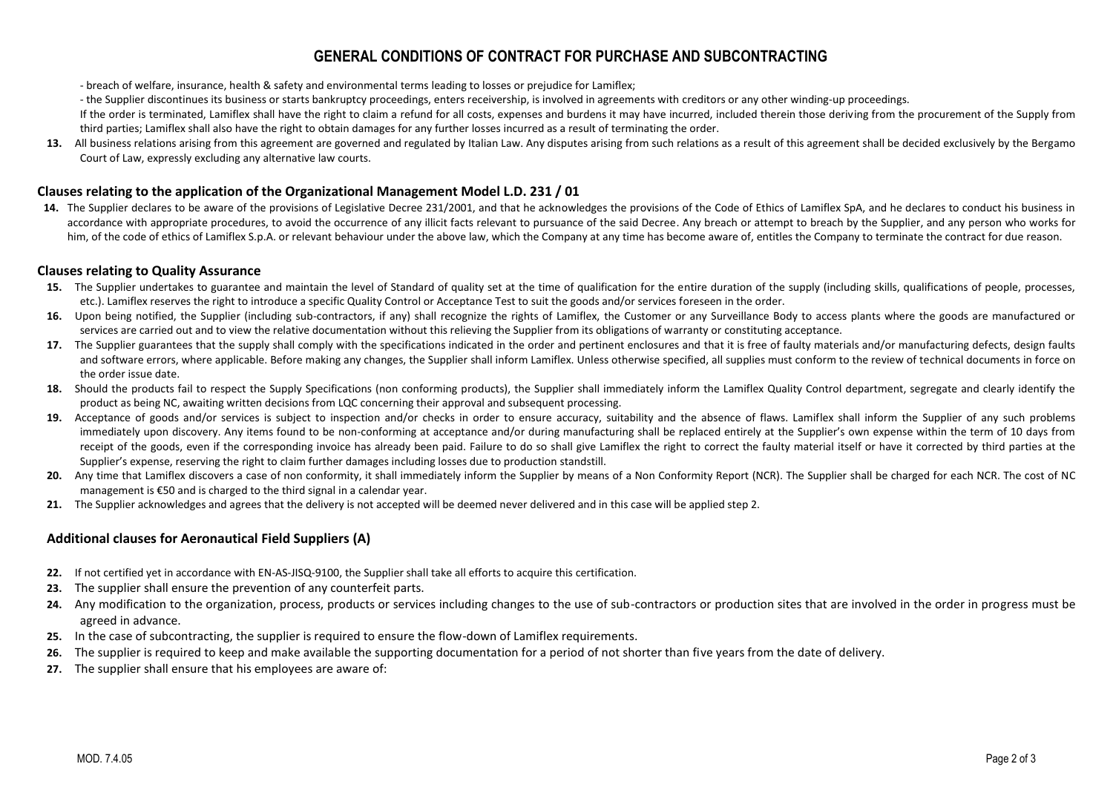# **GENERAL CONDITIONS OF CONTRACT FOR PURCHASE AND SUBCONTRACTING**

- breach of welfare, insurance, health & safety and environmental terms leading to losses or prejudice for Lamiflex;

- the Supplier discontinues its business or starts bankruptcy proceedings, enters receivership, is involved in agreements with creditors or any other winding-up proceedings.

If the order is terminated, Lamiflex shall have the right to claim a refund for all costs, expenses and burdens it may have incurred, included therein those deriving from the procurement of the Supply from third parties; Lamiflex shall also have the right to obtain damages for any further losses incurred as a result of terminating the order.

13. All business relations arising from this agreement are governed and regulated by Italian Law. Any disputes arising from such relations as a result of this agreement shall be decided exclusively by the Bergamo Court of Law, expressly excluding any alternative law courts.

### **Clauses relating to the application of the Organizational Management Model L.D. 231 / 01**

14. The Supplier declares to be aware of the provisions of Legislative Decree 231/2001, and that he acknowledges the provisions of the Code of Ethics of Lamiflex SpA, and he declares to conduct his business in accordance with appropriate procedures, to avoid the occurrence of any illicit facts relevant to pursuance of the said Decree. Any breach or attempt to breach by the Supplier, and any person who works for him, of the code of ethics of Lamiflex S.p.A. or relevant behaviour under the above law, which the Company at any time has become aware of, entitles the Company to terminate the contract for due reason.

### **Clauses relating to Quality Assurance**

- **15.** The Supplier undertakes to guarantee and maintain the level of Standard of quality set at the time of qualification for the entire duration of the supply (including skills, qualifications of people, processes, etc.). Lamiflex reserves the right to introduce a specific Quality Control or Acceptance Test to suit the goods and/or services foreseen in the order.
- **16.** Upon being notified, the Supplier (including sub-contractors, if any) shall recognize the rights of Lamiflex, the Customer or any Surveillance Body to access plants where the goods are manufactured or services are carried out and to view the relative documentation without this relieving the Supplier from its obligations of warranty or constituting acceptance.
- 17. The Supplier guarantees that the supply shall comply with the specifications indicated in the order and pertinent enclosures and that it is free of faulty materials and/or manufacturing defects, design faults and software errors, where applicable. Before making any changes, the Supplier shall inform Lamiflex. Unless otherwise specified, all supplies must conform to the review of technical documents in force on the order issue date.
- **18.** Should the products fail to respect the Supply Specifications (non conforming products), the Supplier shall immediately inform the Lamiflex Quality Control department, segregate and clearly identify the product as being NC, awaiting written decisions from LQC concerning their approval and subsequent processing.
- **19.** Acceptance of goods and/or services is subject to inspection and/or checks in order to ensure accuracy, suitability and the absence of flaws. Lamiflex shall inform the Supplier of any such problems immediately upon discovery. Any items found to be non-conforming at acceptance and/or during manufacturing shall be replaced entirely at the Supplier's own expense within the term of 10 days from receipt of the goods, even if the corresponding invoice has already been paid. Failure to do so shall give Lamiflex the right to correct the faulty material itself or have it corrected by third parties at the Supplier's expense, reserving the right to claim further damages including losses due to production standstill.
- 20. Any time that Lamiflex discovers a case of non conformity, it shall immediately inform the Supplier by means of a Non Conformity Report (NCR). The Supplier shall be charged for each NCR. The cost of NC management is €50 and is charged to the third signal in a calendar year.
- **21.** The Supplier acknowledges and agrees that the delivery is not accepted will be deemed never delivered and in this case will be applied step 2.

### **Additional clauses for Aeronautical Field Suppliers (A)**

- **22.** If not certified yet in accordance with EN-AS-JISQ-9100, the Supplier shall take all efforts to acquire this certification.
- **23.** The supplier shall ensure the prevention of any counterfeit parts.
- 24. Any modification to the organization, process, products or services including changes to the use of sub-contractors or production sites that are involved in the order in progress must be agreed in advance.
- **25.** In the case of subcontracting, the supplier is required to ensure the flow-down of Lamiflex requirements.
- **26.** The supplier is required to keep and make available the supporting documentation for a period of not shorter than five years from the date of delivery.
- **27.** The supplier shall ensure that his employees are aware of: